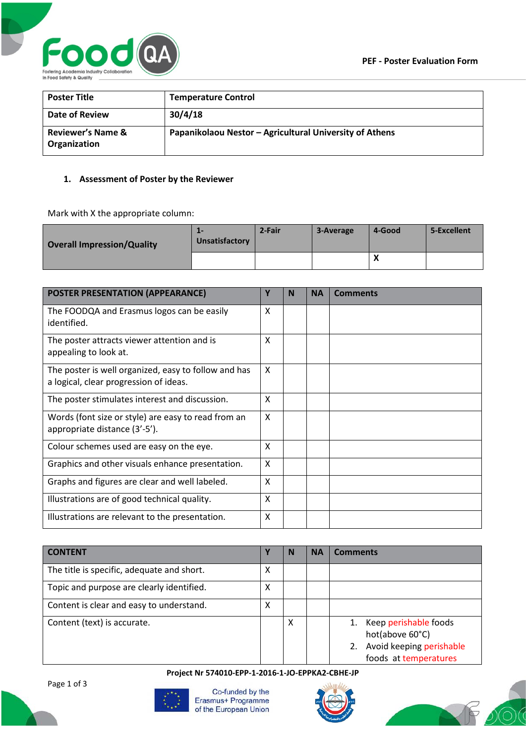

| <b>Poster Title</b>                          | <b>Temperature Control</b>                              |
|----------------------------------------------|---------------------------------------------------------|
| Date of Review                               | 30/4/18                                                 |
| <b>Reviewer's Name &amp;</b><br>Organization | Papanikolaou Nestor - Agricultural University of Athens |

## **1. Assessment of Poster by the Reviewer**

Mark with X the appropriate column:

| <b>Overall Impression/Quality</b> | --<br>Unsatisfactory | 2-Fair | 3-Average | 4-Good    | 5-Excellent |
|-----------------------------------|----------------------|--------|-----------|-----------|-------------|
|                                   |                      |        |           | $\lambda$ |             |

| <b>POSTER PRESENTATION (APPEARANCE)</b>                                                        | Υ | N | <b>NA</b> | <b>Comments</b> |
|------------------------------------------------------------------------------------------------|---|---|-----------|-----------------|
| The FOODQA and Erasmus logos can be easily<br>identified.                                      | X |   |           |                 |
| The poster attracts viewer attention and is<br>appealing to look at.                           | X |   |           |                 |
| The poster is well organized, easy to follow and has<br>a logical, clear progression of ideas. | X |   |           |                 |
| The poster stimulates interest and discussion.                                                 | X |   |           |                 |
| Words (font size or style) are easy to read from an<br>appropriate distance (3'-5').           | X |   |           |                 |
| Colour schemes used are easy on the eye.                                                       | X |   |           |                 |
| Graphics and other visuals enhance presentation.                                               | X |   |           |                 |
| Graphs and figures are clear and well labeled.                                                 | X |   |           |                 |
| Illustrations are of good technical quality.                                                   | X |   |           |                 |
| Illustrations are relevant to the presentation.                                                | X |   |           |                 |

| <b>CONTENT</b>                             |   | N | <b>NA</b> | <b>Comments</b>                                                                                     |
|--------------------------------------------|---|---|-----------|-----------------------------------------------------------------------------------------------------|
| The title is specific, adequate and short. | х |   |           |                                                                                                     |
| Topic and purpose are clearly identified.  | х |   |           |                                                                                                     |
| Content is clear and easy to understand.   | x |   |           |                                                                                                     |
| Content (text) is accurate.                |   | X |           | Keep perishable foods<br>hot(above 60°C)<br>Avoid keeping perishable<br>2.<br>foods at temperatures |

**Project Nr 574010-EPP-1-2016-1-JO-EPPKA2-CBHE-JP**



Co-funded by the Erasmus+ Programme of the European Union



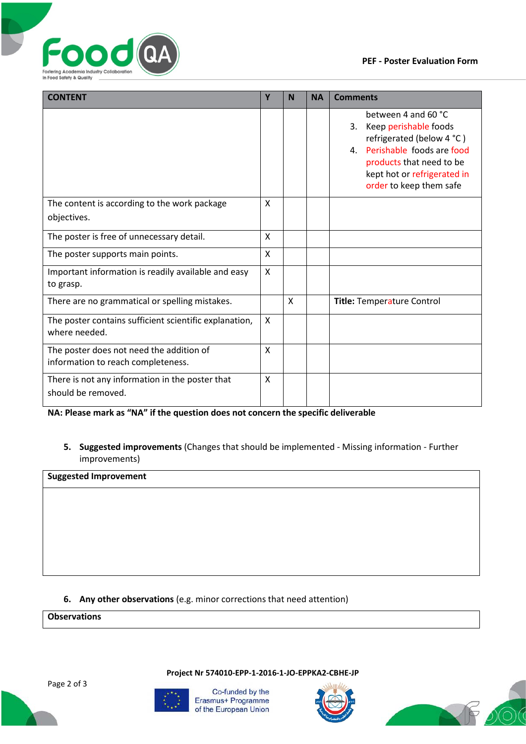



| <b>CONTENT</b>                                                                 | Υ            | N | <b>NA</b> | <b>Comments</b>                                                                                                                                                                                          |
|--------------------------------------------------------------------------------|--------------|---|-----------|----------------------------------------------------------------------------------------------------------------------------------------------------------------------------------------------------------|
|                                                                                |              |   |           | between 4 and 60 °C<br>Keep perishable foods<br>3.<br>refrigerated (below 4 °C)<br>Perishable foods are food<br>4.<br>products that need to be<br>kept hot or refrigerated in<br>order to keep them safe |
| The content is according to the work package<br>objectives.                    | X            |   |           |                                                                                                                                                                                                          |
| The poster is free of unnecessary detail.                                      | X            |   |           |                                                                                                                                                                                                          |
| The poster supports main points.                                               | $\mathsf{X}$ |   |           |                                                                                                                                                                                                          |
| Important information is readily available and easy<br>to grasp.               | X            |   |           |                                                                                                                                                                                                          |
| There are no grammatical or spelling mistakes.                                 |              | X |           | Title: Temperature Control                                                                                                                                                                               |
| The poster contains sufficient scientific explanation,<br>where needed.        | X            |   |           |                                                                                                                                                                                                          |
| The poster does not need the addition of<br>information to reach completeness. | X            |   |           |                                                                                                                                                                                                          |
| There is not any information in the poster that<br>should be removed.          | X            |   |           |                                                                                                                                                                                                          |

**NA: Please mark as "NA" if the question does not concern the specific deliverable**

**5. Suggested improvements** (Changes that should be implemented - Missing information - Further improvements)

**Suggested Improvement**

## **6. Any other observations** (e.g. minor corrections that need attention)

**Observations**

Page 2 of 3



Co-funded by the Erasmus+ Programme of the European Union

**Project Nr 574010-EPP-1-2016-1-JO-EPPKA2-CBHE-JP**